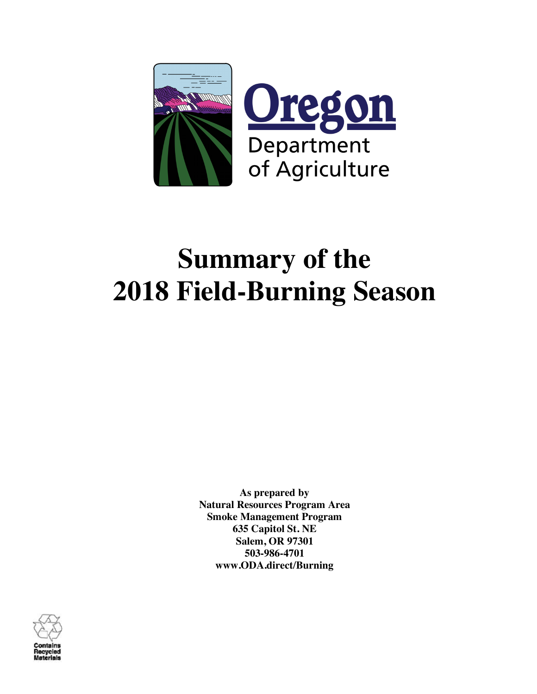

# **Summary of the 2018 Field-Burning Season**

**As prepared by Natural Resources Program Area Smoke Management Program 635 Capitol St. NE Salem, OR 97301 503-986-4701 www.ODA.direct/Burning**

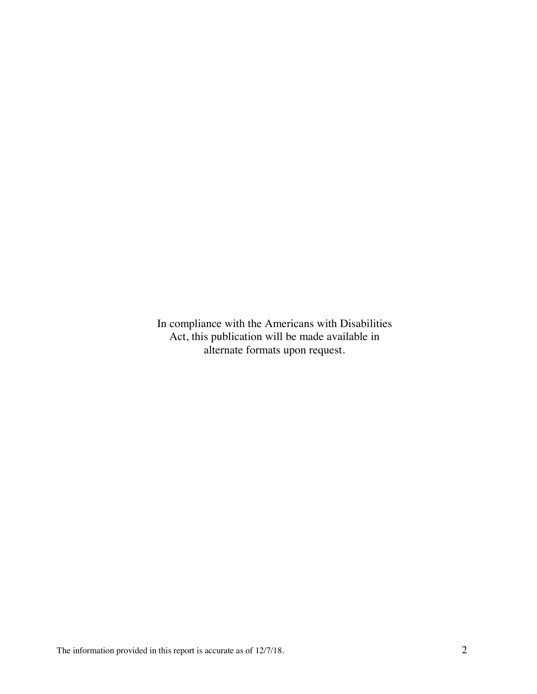In compliance with the Americans with Disabilities Act, this publication will be made available in alternate formats upon request.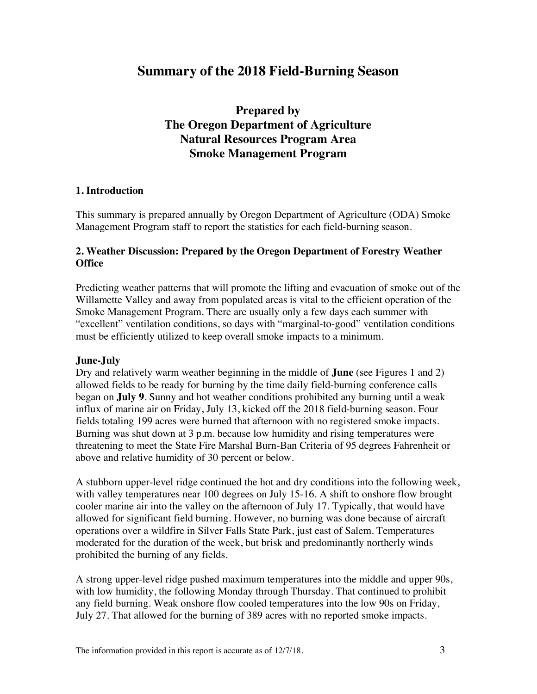# **Summary of the 2018 Field-Burning Season**

**Prepared by The Oregon Department of Agriculture Natural Resources Program Area Smoke Management Program**

# **1. Introduction**

This summary is prepared annually by Oregon Department of Agriculture (ODA) Smoke Management Program staff to report the statistics for each field-burning season.

# **2. Weather Discussion: Prepared by the Oregon Department of Forestry Weather Office**

Predicting weather patterns that will promote the lifting and evacuation of smoke out of the Willamette Valley and away from populated areas is vital to the efficient operation of the Smoke Management Program. There are usually only a few days each summer with "excellent" ventilation conditions, so days with "marginal-to-good" ventilation conditions must be efficiently utilized to keep overall smoke impacts to a minimum.

# **June-July**

Dry and relatively warm weather beginning in the middle of **June** (see Figures 1 and 2) allowed fields to be ready for burning by the time daily field-burning conference calls began on **July 9**. Sunny and hot weather conditions prohibited any burning until a weak influx of marine air on Friday, July 13, kicked off the 2018 field-burning season. Four fields totaling 199 acres were burned that afternoon with no registered smoke impacts. Burning was shut down at 3 p.m. because low humidity and rising temperatures were threatening to meet the State Fire Marshal Burn-Ban Criteria of 95 degrees Fahrenheit or above and relative humidity of 30 percent or below.

A stubborn upper-level ridge continued the hot and dry conditions into the following week, with valley temperatures near 100 degrees on July 15-16. A shift to onshore flow brought cooler marine air into the valley on the afternoon of July 17. Typically, that would have allowed for significant field burning. However, no burning was done because of aircraft operations over a wildfire in Silver Falls State Park, just east of Salem. Temperatures moderated for the duration of the week, but brisk and predominantly northerly winds prohibited the burning of any fields.

A strong upper-level ridge pushed maximum temperatures into the middle and upper 90s, with low humidity, the following Monday through Thursday. That continued to prohibit any field burning. Weak onshore flow cooled temperatures into the low 90s on Friday, July 27. That allowed for the burning of 389 acres with no reported smoke impacts.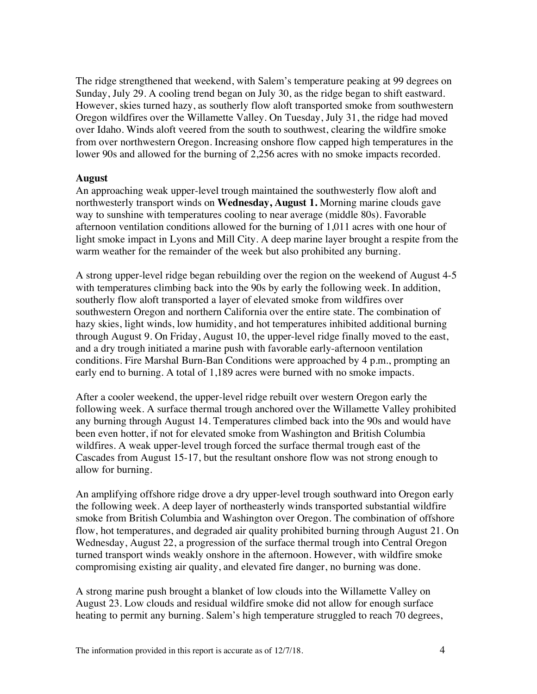The ridge strengthened that weekend, with Salem's temperature peaking at 99 degrees on Sunday, July 29. A cooling trend began on July 30, as the ridge began to shift eastward. However, skies turned hazy, as southerly flow aloft transported smoke from southwestern Oregon wildfires over the Willamette Valley. On Tuesday, July 31, the ridge had moved over Idaho. Winds aloft veered from the south to southwest, clearing the wildfire smoke from over northwestern Oregon. Increasing onshore flow capped high temperatures in the lower 90s and allowed for the burning of 2,256 acres with no smoke impacts recorded.

#### **August**

An approaching weak upper-level trough maintained the southwesterly flow aloft and northwesterly transport winds on **Wednesday, August 1.** Morning marine clouds gave way to sunshine with temperatures cooling to near average (middle 80s). Favorable afternoon ventilation conditions allowed for the burning of 1,011 acres with one hour of light smoke impact in Lyons and Mill City. A deep marine layer brought a respite from the warm weather for the remainder of the week but also prohibited any burning.

A strong upper-level ridge began rebuilding over the region on the weekend of August 4-5 with temperatures climbing back into the 90s by early the following week. In addition, southerly flow aloft transported a layer of elevated smoke from wildfires over southwestern Oregon and northern California over the entire state. The combination of hazy skies, light winds, low humidity, and hot temperatures inhibited additional burning through August 9. On Friday, August 10, the upper-level ridge finally moved to the east, and a dry trough initiated a marine push with favorable early-afternoon ventilation conditions. Fire Marshal Burn-Ban Conditions were approached by 4 p.m., prompting an early end to burning. A total of 1,189 acres were burned with no smoke impacts.

After a cooler weekend, the upper-level ridge rebuilt over western Oregon early the following week. A surface thermal trough anchored over the Willamette Valley prohibited any burning through August 14. Temperatures climbed back into the 90s and would have been even hotter, if not for elevated smoke from Washington and British Columbia wildfires. A weak upper-level trough forced the surface thermal trough east of the Cascades from August 15-17, but the resultant onshore flow was not strong enough to allow for burning.

An amplifying offshore ridge drove a dry upper-level trough southward into Oregon early the following week. A deep layer of northeasterly winds transported substantial wildfire smoke from British Columbia and Washington over Oregon. The combination of offshore flow, hot temperatures, and degraded air quality prohibited burning through August 21. On Wednesday, August 22, a progression of the surface thermal trough into Central Oregon turned transport winds weakly onshore in the afternoon. However, with wildfire smoke compromising existing air quality, and elevated fire danger, no burning was done.

A strong marine push brought a blanket of low clouds into the Willamette Valley on August 23. Low clouds and residual wildfire smoke did not allow for enough surface heating to permit any burning. Salem's high temperature struggled to reach 70 degrees,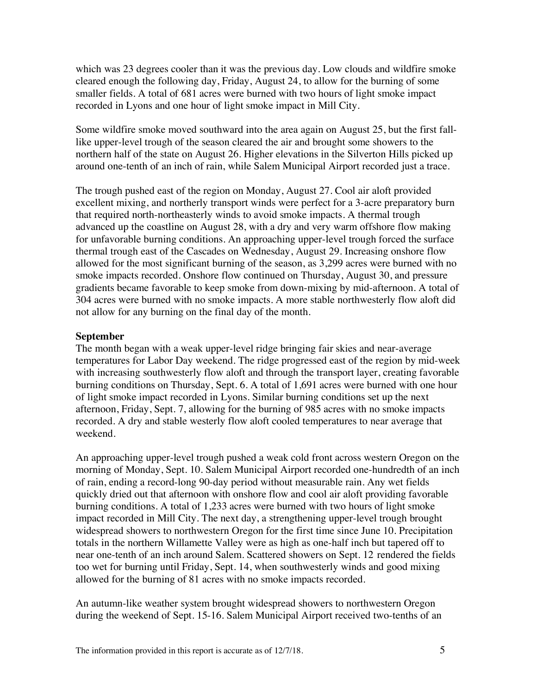which was 23 degrees cooler than it was the previous day. Low clouds and wildfire smoke cleared enough the following day, Friday, August 24, to allow for the burning of some smaller fields. A total of 681 acres were burned with two hours of light smoke impact recorded in Lyons and one hour of light smoke impact in Mill City.

Some wildfire smoke moved southward into the area again on August 25, but the first falllike upper-level trough of the season cleared the air and brought some showers to the northern half of the state on August 26. Higher elevations in the Silverton Hills picked up around one-tenth of an inch of rain, while Salem Municipal Airport recorded just a trace.

The trough pushed east of the region on Monday, August 27. Cool air aloft provided excellent mixing, and northerly transport winds were perfect for a 3-acre preparatory burn that required north-northeasterly winds to avoid smoke impacts. A thermal trough advanced up the coastline on August 28, with a dry and very warm offshore flow making for unfavorable burning conditions. An approaching upper-level trough forced the surface thermal trough east of the Cascades on Wednesday, August 29. Increasing onshore flow allowed for the most significant burning of the season, as 3,299 acres were burned with no smoke impacts recorded. Onshore flow continued on Thursday, August 30, and pressure gradients became favorable to keep smoke from down-mixing by mid-afternoon. A total of 304 acres were burned with no smoke impacts. A more stable northwesterly flow aloft did not allow for any burning on the final day of the month.

#### **September**

The month began with a weak upper-level ridge bringing fair skies and near-average temperatures for Labor Day weekend. The ridge progressed east of the region by mid-week with increasing southwesterly flow aloft and through the transport layer, creating favorable burning conditions on Thursday, Sept. 6. A total of 1,691 acres were burned with one hour of light smoke impact recorded in Lyons. Similar burning conditions set up the next afternoon, Friday, Sept. 7, allowing for the burning of 985 acres with no smoke impacts recorded. A dry and stable westerly flow aloft cooled temperatures to near average that weekend.

An approaching upper-level trough pushed a weak cold front across western Oregon on the morning of Monday, Sept. 10. Salem Municipal Airport recorded one-hundredth of an inch of rain, ending a record-long 90-day period without measurable rain. Any wet fields quickly dried out that afternoon with onshore flow and cool air aloft providing favorable burning conditions. A total of 1,233 acres were burned with two hours of light smoke impact recorded in Mill City. The next day, a strengthening upper-level trough brought widespread showers to northwestern Oregon for the first time since June 10. Precipitation totals in the northern Willamette Valley were as high as one-half inch but tapered off to near one-tenth of an inch around Salem. Scattered showers on Sept. 12 rendered the fields too wet for burning until Friday, Sept. 14, when southwesterly winds and good mixing allowed for the burning of 81 acres with no smoke impacts recorded.

An autumn-like weather system brought widespread showers to northwestern Oregon during the weekend of Sept. 15-16. Salem Municipal Airport received two-tenths of an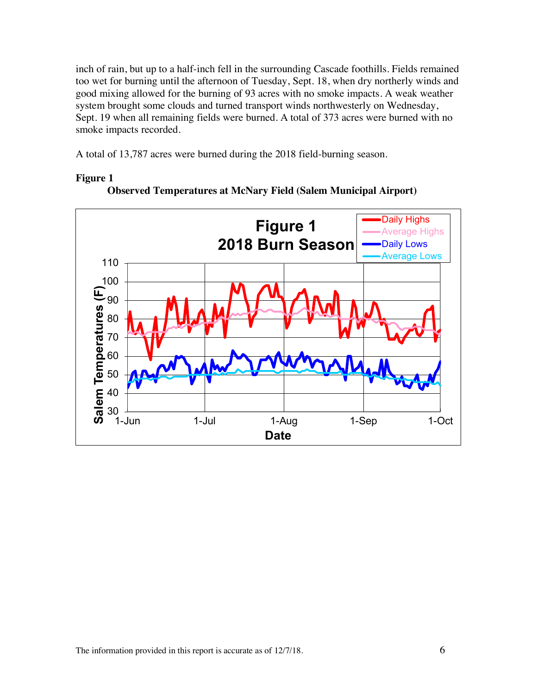inch of rain, but up to a half-inch fell in the surrounding Cascade foothills. Fields remained too wet for burning until the afternoon of Tuesday, Sept. 18, when dry northerly winds and good mixing allowed for the burning of 93 acres with no smoke impacts. A weak weather system brought some clouds and turned transport winds northwesterly on Wednesday, Sept. 19 when all remaining fields were burned. A total of 373 acres were burned with no smoke impacts recorded.

A total of 13,787 acres were burned during the 2018 field-burning season.



## **Figure 1**



**Observed Temperatures at McNary Field (Salem Municipal Airport)**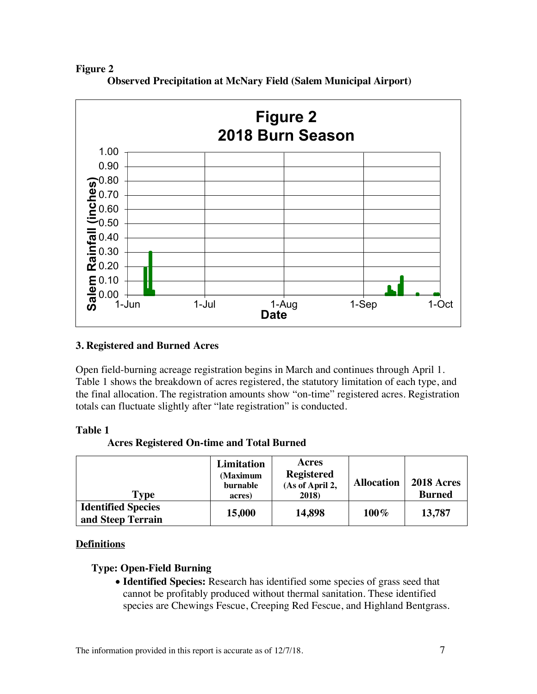# **Figure 2**



**Observed Precipitation at McNary Field (Salem Municipal Airport)**

# **3. Registered and Burned Acres**

Open field-burning acreage registration begins in March and continues through April 1. Table 1 shows the breakdown of acres registered, the statutory limitation of each type, and the final allocation. The registration amounts show "on-time" registered acres. Registration totals can fluctuate slightly after "late registration" is conducted.

# **Table 1**

# **Acres Registered On-time and Total Burned**

| Type                                           | Limitation<br>(Maximum<br>burnable<br>acres) | Acres<br><b>Registered</b><br>(As of April 2,<br>2018) | <b>Allocation</b> | <b>2018 Acres</b><br><b>Burned</b> |
|------------------------------------------------|----------------------------------------------|--------------------------------------------------------|-------------------|------------------------------------|
| <b>Identified Species</b><br>and Steep Terrain | 15,000                                       | 14,898                                                 | $100\%$           | 13,787                             |

# **Definitions**

# **Type: Open-Field Burning**

• **Identified Species:** Research has identified some species of grass seed that cannot be profitably produced without thermal sanitation. These identified species are Chewings Fescue, Creeping Red Fescue, and Highland Bentgrass.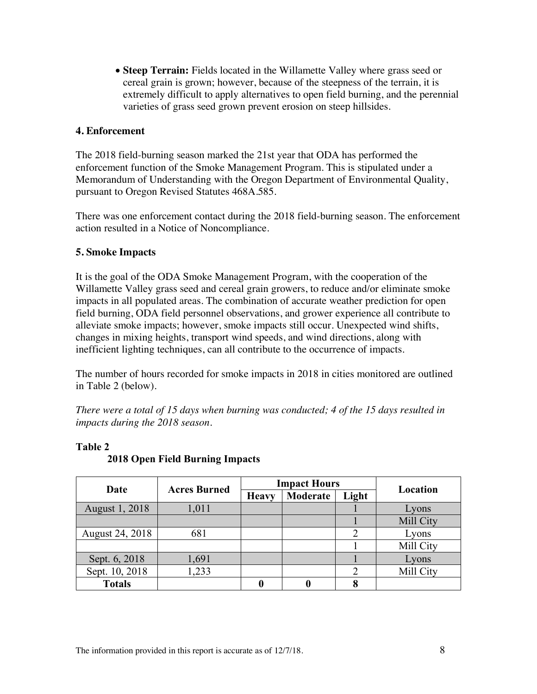• **Steep Terrain:** Fields located in the Willamette Valley where grass seed or cereal grain is grown; however, because of the steepness of the terrain, it is extremely difficult to apply alternatives to open field burning, and the perennial varieties of grass seed grown prevent erosion on steep hillsides.

# **4. Enforcement**

The 2018 field-burning season marked the 21st year that ODA has performed the enforcement function of the Smoke Management Program. This is stipulated under a Memorandum of Understanding with the Oregon Department of Environmental Quality, pursuant to Oregon Revised Statutes 468A.585.

There was one enforcement contact during the 2018 field-burning season. The enforcement action resulted in a Notice of Noncompliance.

# **5. Smoke Impacts**

It is the goal of the ODA Smoke Management Program, with the cooperation of the Willamette Valley grass seed and cereal grain growers, to reduce and/or eliminate smoke impacts in all populated areas. The combination of accurate weather prediction for open field burning, ODA field personnel observations, and grower experience all contribute to alleviate smoke impacts; however, smoke impacts still occur. Unexpected wind shifts, changes in mixing heights, transport wind speeds, and wind directions, along with inefficient lighting techniques, can all contribute to the occurrence of impacts.

The number of hours recorded for smoke impacts in 2018 in cities monitored are outlined in Table 2 (below).

*There were a total of 15 days when burning was conducted; 4 of the 15 days resulted in impacts during the 2018 season.*

| Date                   | <b>Acres Burned</b> | <b>Impact Hours</b> |          |                |           |
|------------------------|---------------------|---------------------|----------|----------------|-----------|
|                        |                     | <b>Heavy</b>        | Moderate | Light          | Location  |
| August 1, 2018         | 1,011               |                     |          |                | Lyons     |
|                        |                     |                     |          |                | Mill City |
| <b>August 24, 2018</b> | 681                 |                     |          | $\overline{2}$ | Lyons     |
|                        |                     |                     |          |                | Mill City |
| Sept. 6, 2018          | 1,691               |                     |          |                | Lyons     |
| Sept. 10, 2018         | 1,233               |                     |          | 2              | Mill City |
| <b>Totals</b>          |                     |                     |          | 8              |           |

# **Table 2**

**2018 Open Field Burning Impacts**